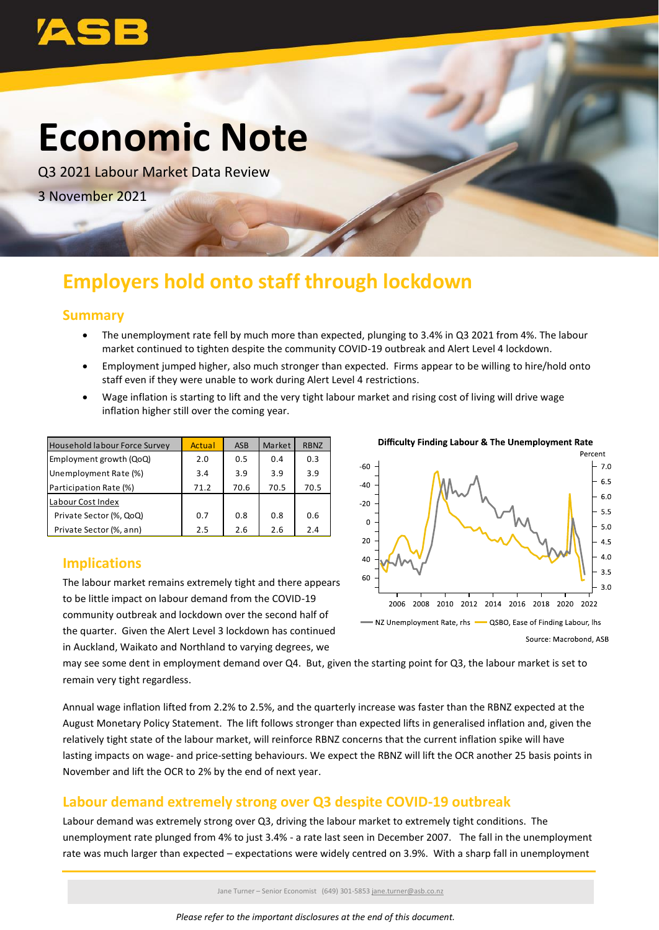

# **Economic Note**

Q3 2021 Labour Market Data Review 3 November 2021

## **Employers hold onto staff through lockdown**

### **Summary**

- The unemployment rate fell by much more than expected, plunging to 3.4% in Q3 2021 from 4%. The labour market continued to tighten despite the community COVID-19 outbreak and Alert Level 4 lockdown.
- Employment jumped higher, also much stronger than expected. Firms appear to be willing to hire/hold onto staff even if they were unable to work during Alert Level 4 restrictions.
- Wage inflation is starting to lift and the very tight labour market and rising cost of living will drive wage inflation higher still over the coming year.

| <b>Household labour Force Survey</b> | Actual | ASB  | Market | <b>RBNZ</b> |
|--------------------------------------|--------|------|--------|-------------|
| Employment growth (QoQ)              | 2.0    | 0.5  | 0.4    | 0.3         |
| Unemployment Rate (%)                | 3.4    | 3.9  | 3.9    | 3.9         |
| Participation Rate (%)               | 71.2   | 70.6 | 70.5   | 70.5        |
| Labour Cost Index                    |        |      |        |             |
| Private Sector (%, QoQ)              | 0.7    | 0.8  | 0.8    | 0.6         |
| Private Sector (%, ann)              | 2.5    | 2.6  | 2.6    | 2.4         |

### **Implications**

The labour market remains extremely tight and there appears to be little impact on labour demand from the COVID-19 community outbreak and lockdown over the second half of the quarter. Given the Alert Level 3 lockdown has continued in Auckland, Waikato and Northland to varying degrees, we



may see some dent in employment demand over Q4. But, given the starting point for Q3, the labour market is set to remain very tight regardless.

Annual wage inflation lifted from 2.2% to 2.5%, and the quarterly increase was faster than the RBNZ expected at the August Monetary Policy Statement. The lift follows stronger than expected lifts in generalised inflation and, given the relatively tight state of the labour market, will reinforce RBNZ concerns that the current inflation spike will have lasting impacts on wage- and price-setting behaviours. We expect the RBNZ will lift the OCR another 25 basis points in November and lift the OCR to 2% by the end of next year.

### **Labour demand extremely strong over Q3 despite COVID-19 outbreak**

Labour demand was extremely strong over Q3, driving the labour market to extremely tight conditions. The unemployment rate plunged from 4% to just 3.4% - a rate last seen in December 2007. The fall in the unemployment

Jane Turner – Senior Economist (649) 301-5853 jane.turner@asb.co.nz

*Please refer to the important disclosures at the end of this document.*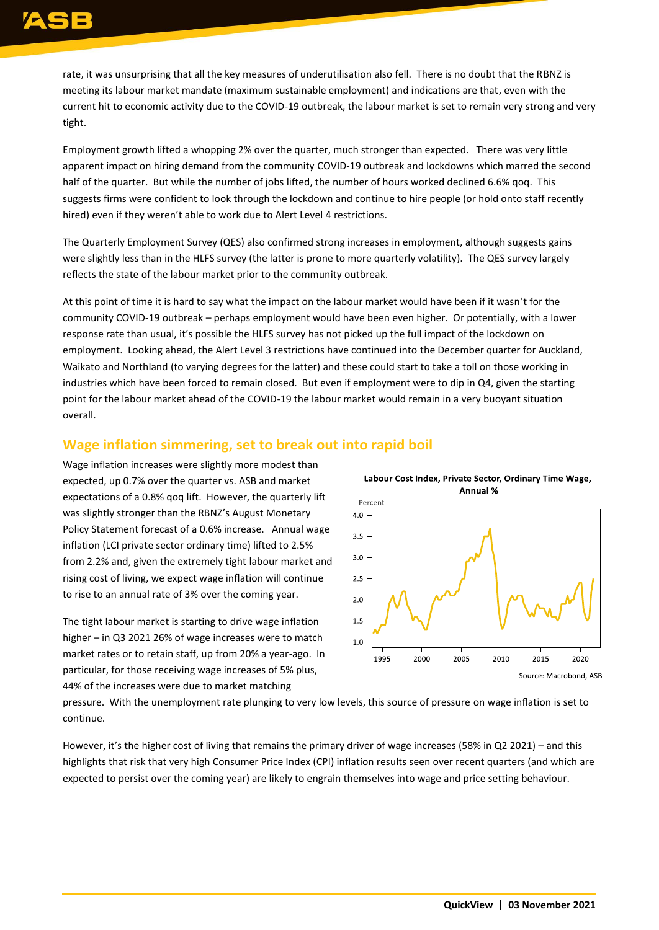rate, it was unsurprising that all the key measures of underutilisation also fell. There is no doubt that the RBNZ is meeting its labour market mandate (maximum sustainable employment) and indications are that, even with the current hit to economic activity due to the COVID-19 outbreak, the labour market is set to remain very strong and very tight.

Employment growth lifted a whopping 2% over the quarter, much stronger than expected. There was very little apparent impact on hiring demand from the community COVID-19 outbreak and lockdowns which marred the second half of the quarter. But while the number of jobs lifted, the number of hours worked declined 6.6% qoq. This suggests firms were confident to look through the lockdown and continue to hire people (or hold onto staff recently hired) even if they weren't able to work due to Alert Level 4 restrictions.

The Quarterly Employment Survey (QES) also confirmed strong increases in employment, although suggests gains were slightly less than in the HLFS survey (the latter is prone to more quarterly volatility). The QES survey largely reflects the state of the labour market prior to the community outbreak.

At this point of time it is hard to say what the impact on the labour market would have been if it wasn't for the community COVID-19 outbreak – perhaps employment would have been even higher. Or potentially, with a lower response rate than usual, it's possible the HLFS survey has not picked up the full impact of the lockdown on employment. Looking ahead, the Alert Level 3 restrictions have continued into the December quarter for Auckland, Waikato and Northland (to varying degrees for the latter) and these could start to take a toll on those working in industries which have been forced to remain closed. But even if employment were to dip in Q4, given the starting point for the labour market ahead of the COVID-19 the labour market would remain in a very buoyant situation overall.

### **Wage inflation simmering, set to break out into rapid boil**

Wage inflation increases were slightly more modest than expected, up 0.7% over the quarter vs. ASB and market expectations of a 0.8% qoq lift. However, the quarterly lift was slightly stronger than the RBNZ's August Monetary Policy Statement forecast of a 0.6% increase. Annual wage inflation (LCI private sector ordinary time) lifted to 2.5% from 2.2% and, given the extremely tight labour market and rising cost of living, we expect wage inflation will continue to rise to an annual rate of 3% over the coming year.

The tight labour market is starting to drive wage inflation higher – in Q3 2021 26% of wage increases were to match market rates or to retain staff, up from 20% a year-ago. In particular, for those receiving wage increases of 5% plus, 44% of the increases were due to market matching



Labour Cost Index, Private Sector, Ordinary Time Wage,

pressure. With the unemployment rate plunging to very low levels, this source of pressure on wage inflation is set to continue.

However, it's the higher cost of living that remains the primary driver of wage increases (58% in Q2 2021) – and this highlights that risk that very high Consumer Price Index (CPI) inflation results seen over recent quarters (and which are expected to persist over the coming year) are likely to engrain themselves into wage and price setting behaviour.